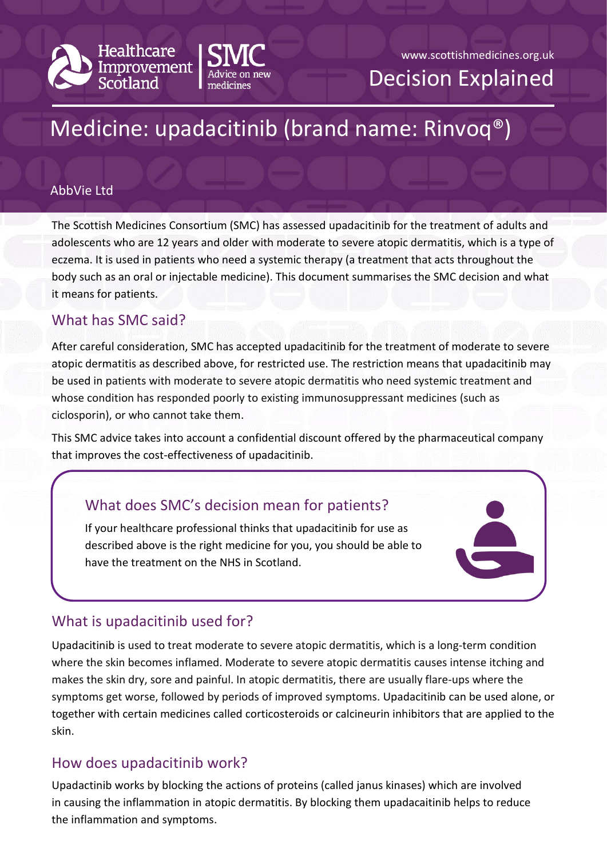

# Medicine: upadacitinib (brand name: Rinvoq®)

#### AbbVie Ltd

The Scottish Medicines Consortium (SMC) has assessed upadacitinib for the treatment of adults and adolescents who are 12 years and older with moderate to severe atopic dermatitis, which is a type of eczema. It is used in patients who need a systemic therapy (a treatment that acts throughout the body such as an oral or injectable medicine). This document summarises the SMC decision and what it means for patients.

### What has SMC said?

After careful consideration, SMC has accepted upadacitinib for the treatment of moderate to severe atopic dermatitis as described above, for restricted use. The restriction means that upadacitinib may be used in patients with moderate to severe atopic dermatitis who need systemic treatment and whose condition has responded poorly to existing immunosuppressant medicines (such as ciclosporin), or who cannot take them.

This SMC advice takes into account a confidential discount offered by the pharmaceutical company that improves the cost-effectiveness of upadacitinib.

# What does SMC's decision mean for patients?

If your healthcare professional thinks that upadacitinib for use as described above is the right medicine for you, you should be able to have the treatment on the NHS in Scotland.



# What is upadacitinib used for?

Upadacitinib is used to treat moderate to severe atopic dermatitis, which is a long-term condition where the skin becomes inflamed. Moderate to severe atopic dermatitis causes intense itching and makes the skin dry, sore and painful. In atopic dermatitis, there are usually flare-ups where the symptoms get worse, followed by periods of improved symptoms. Upadacitinib can be used alone, or together with certain medicines called corticosteroids or calcineurin inhibitors that are applied to the skin.

### How does upadacitinib work?

Upadactinib works by blocking the actions of proteins (called janus kinases) which are involved in causing the inflammation in atopic dermatitis. By blocking them upadacaitinib helps to reduce the inflammation and symptoms.